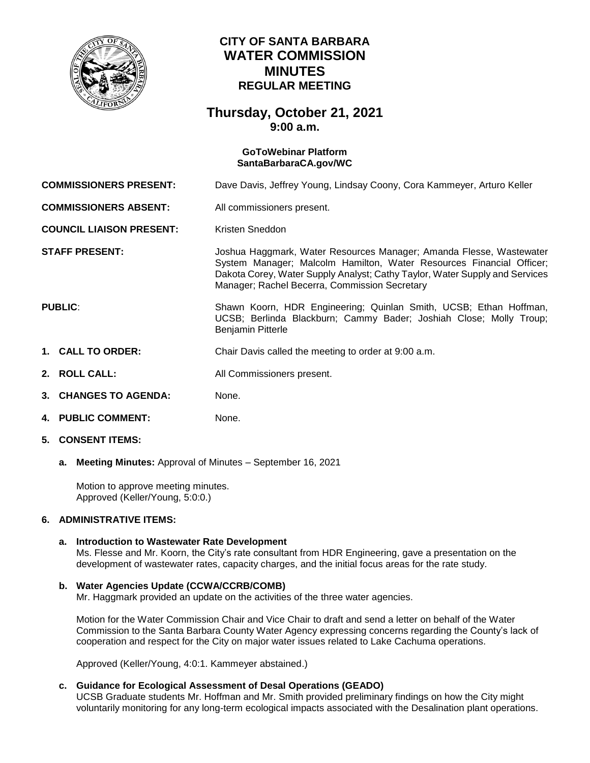

# **CITY OF SANTA BARBARA WATER COMMISSION MINUTES REGULAR MEETING**

# **Thursday, October 21, 2021 9:00 a.m.**

## **GoToWebinar Platform [SantaBarbaraCA.gov/WC](https://www.santabarbaraca.gov/gov/brdcomm/nz/water/agendas.asp)**

**COMMISSIONERS PRESENT:** Dave Davis, Jeffrey Young, Lindsay Coony, Cora Kammeyer, Arturo Keller

**COMMISSIONERS ABSENT:** All commissioners present.

**COUNCIL LIAISON PRESENT:** Kristen Sneddon

**STAFF PRESENT:** Joshua Haggmark, Water Resources Manager; Amanda Flesse, Wastewater System Manager; Malcolm Hamilton, Water Resources Financial Officer; Dakota Corey, Water Supply Analyst; Cathy Taylor, Water Supply and Services Manager; Rachel Becerra, Commission Secretary

PUBLIC: Shawn Koorn, HDR Engineering; Quinlan Smith, UCSB; Ethan Hoffman, UCSB; Berlinda Blackburn; Cammy Bader; Joshiah Close; Molly Troup; Benjamin Pitterle

- **1. CALL TO ORDER:** Chair Davis called the meeting to order at 9:00 a.m.
- **2. ROLL CALL:** All Commissioners present.
- **3. CHANGES TO AGENDA:** None.
- **4. PUBLIC COMMENT:** None.
- **5. CONSENT ITEMS:**
	- **a. Meeting Minutes:** Approval of Minutes September 16, 2021

Motion to approve meeting minutes. Approved (Keller/Young, 5:0:0.)

#### **6. ADMINISTRATIVE ITEMS:**

#### **a. Introduction to Wastewater Rate Development**

Ms. Flesse and Mr. Koorn, the City's rate consultant from HDR Engineering, gave a presentation on the development of wastewater rates, capacity charges, and the initial focus areas for the rate study.

## **b. Water Agencies Update (CCWA/CCRB/COMB)**

Mr. Haggmark provided an update on the activities of the three water agencies.

Motion for the Water Commission Chair and Vice Chair to draft and send a letter on behalf of the Water Commission to the Santa Barbara County Water Agency expressing concerns regarding the County's lack of cooperation and respect for the City on major water issues related to Lake Cachuma operations.

Approved (Keller/Young, 4:0:1. Kammeyer abstained.)

## **c. Guidance for Ecological Assessment of Desal Operations (GEADO)**

UCSB Graduate students Mr. Hoffman and Mr. Smith provided preliminary findings on how the City might voluntarily monitoring for any long-term ecological impacts associated with the Desalination plant operations.